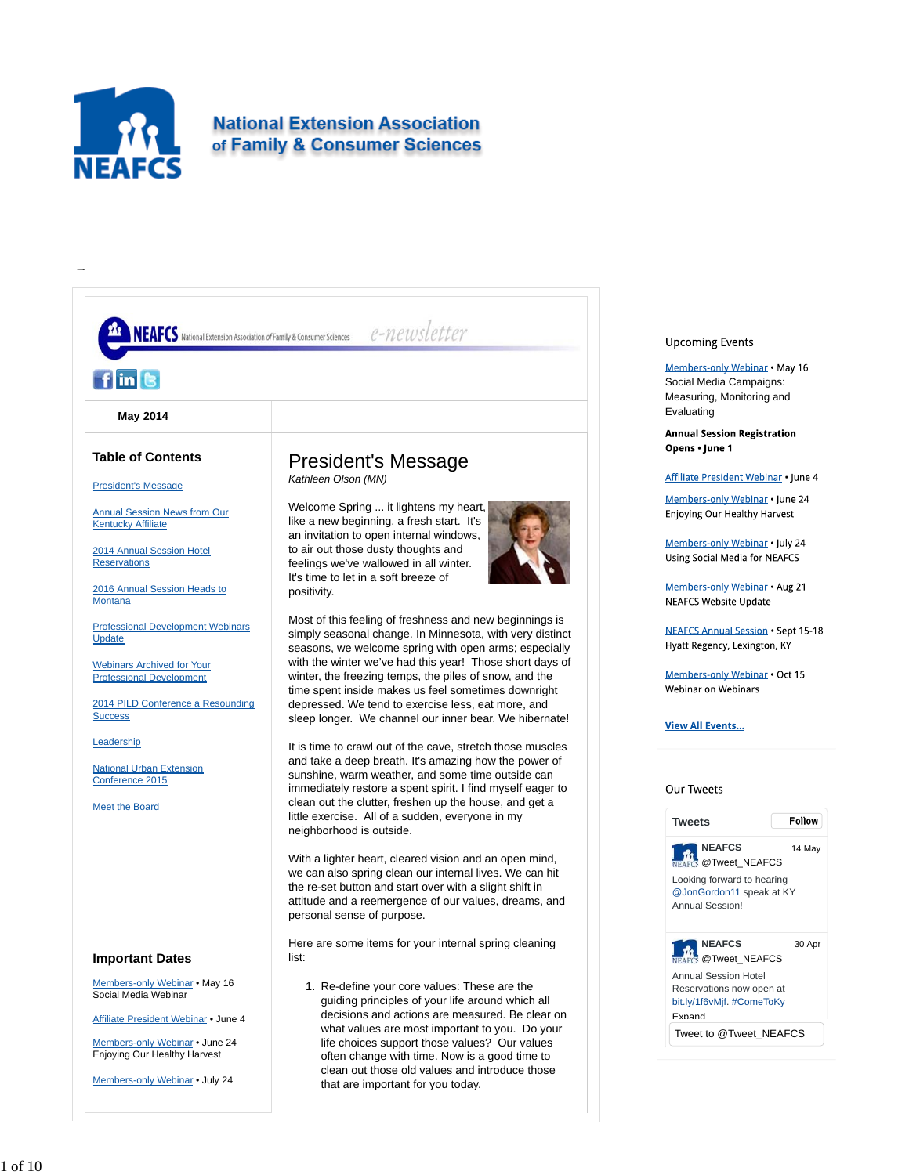

# **National Extension Association** of Family & Consumer Sciences



## **Upcoming Events**

Members-only Webinar . May 16 Social Media Campaigns: Measuring, Monitoring and Evaluating

**Annual Session Registration** Opens · June 1

Affiliate President Webinar . June 4

Members-only Webinar . June 24 **Enjoying Our Healthy Harvest** 

Members-only Webinar . July 24 Using Social Media for NEAFCS

Members-only Webinar . Aug 21 **NEAFCS Website Update** 

**NEAFCS Annual Session . Sept 15-18** Hyatt Regency, Lexington, KY

Members-only Webinar • Oct 15 Webinar on Webinars

## **View All Events...**

# Our Tweets

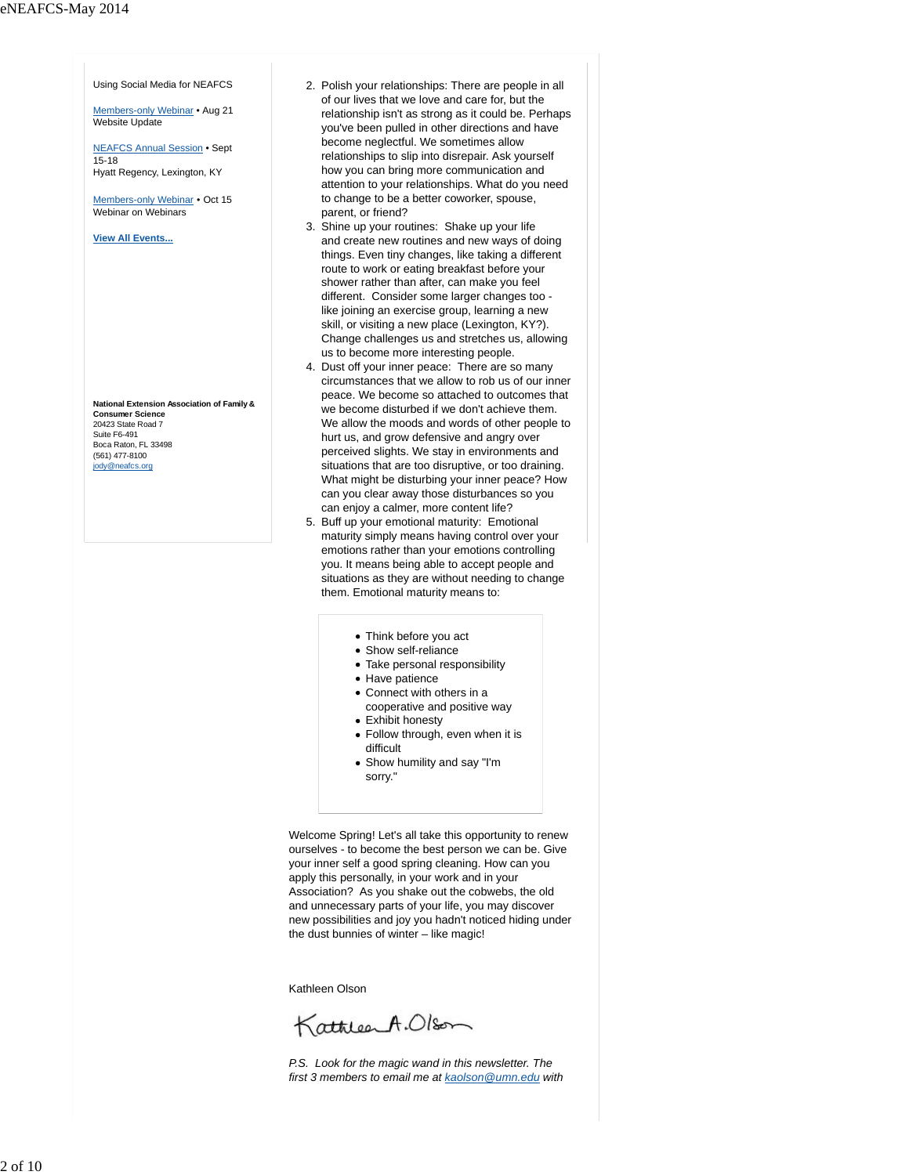Using Social Media for NEAFCS

Members-only Webinar • Aug 21 Website Update

NEAFCS Annual Session • Sept  $15 - 18$ Hyatt Regency, Lexington, KY

Members-only Webinar • Oct 15 Webinar on Webinars

**View All Events...**

**National Extension Association of Family & Consumer Science** 20423 State Road 7 Suite F6-491 Boca Raton, FL 33498 (561) 477-8100 jody@neafcs.org

- 2. Polish your relationships: There are people in all of our lives that we love and care for, but the relationship isn't as strong as it could be. Perhaps you've been pulled in other directions and have become neglectful. We sometimes allow relationships to slip into disrepair. Ask yourself how you can bring more communication and attention to your relationships. What do you need to change to be a better coworker, spouse, parent, or friend?
- 3. Shine up your routines: Shake up your life and create new routines and new ways of doing things. Even tiny changes, like taking a different route to work or eating breakfast before your shower rather than after, can make you feel different. Consider some larger changes too like joining an exercise group, learning a new skill, or visiting a new place (Lexington, KY?). Change challenges us and stretches us, allowing us to become more interesting people.
- 4. Dust off your inner peace: There are so many circumstances that we allow to rob us of our inner peace. We become so attached to outcomes that we become disturbed if we don't achieve them. We allow the moods and words of other people to hurt us, and grow defensive and angry over perceived slights. We stay in environments and situations that are too disruptive, or too draining. What might be disturbing your inner peace? How can you clear away those disturbances so you can enjoy a calmer, more content life?
- 5. Buff up your emotional maturity: Emotional maturity simply means having control over your emotions rather than your emotions controlling you. It means being able to accept people and situations as they are without needing to change them. Emotional maturity means to:
	- Think before you act
	- Show self-reliance
	- Take personal responsibility
	- Have patience
	- Connect with others in a cooperative and positive way
	- Exhibit honesty
	- Follow through, even when it is difficult
	- Show humility and say "I'm sorry."

Welcome Spring! Let's all take this opportunity to renew ourselves - to become the best person we can be. Give your inner self a good spring cleaning. How can you apply this personally, in your work and in your Association? As you shake out the cobwebs, the old and unnecessary parts of your life, you may discover new possibilities and joy you hadn't noticed hiding under the dust bunnies of winter – like magic!

Kathleen Olson

KathleenA.Olson

*P.S. Look for the magic wand in this newsletter. The first 3 members to email me at kaolson@umn.edu with*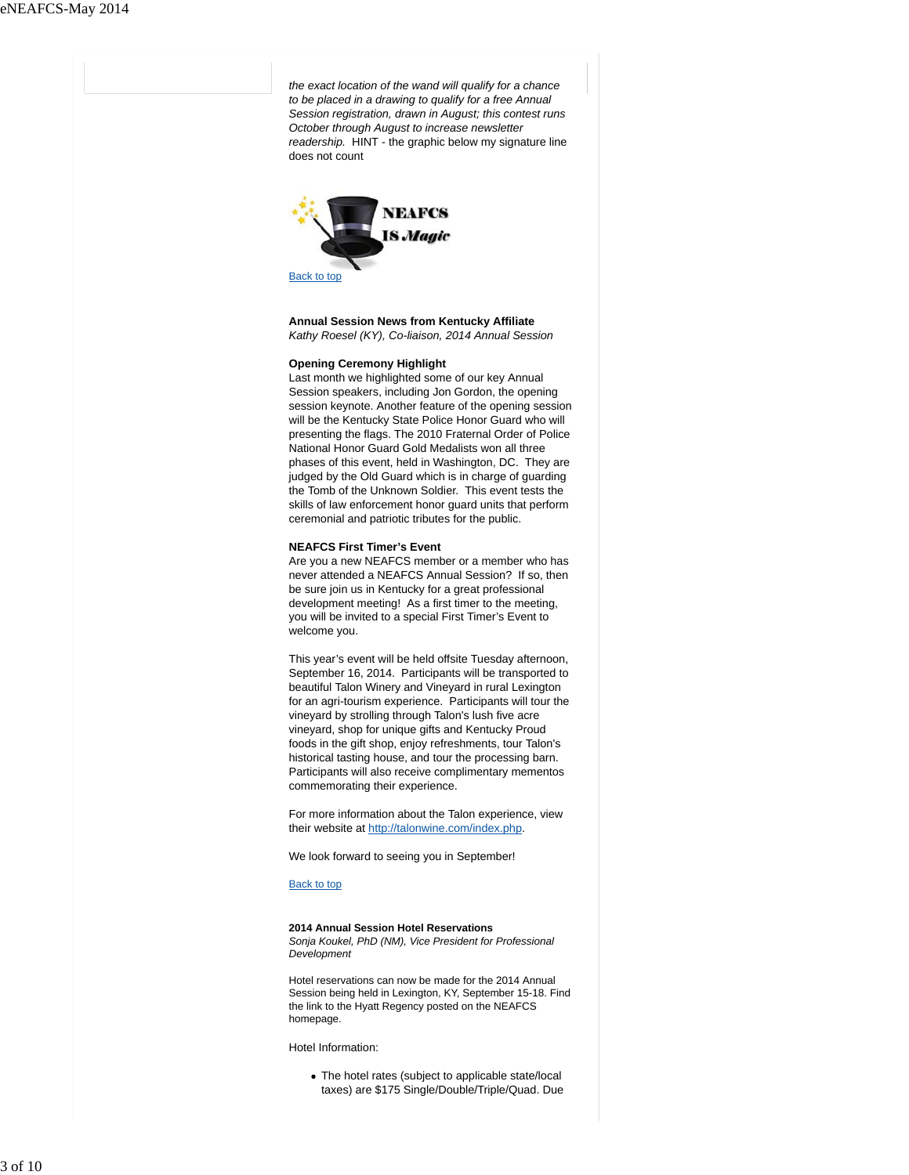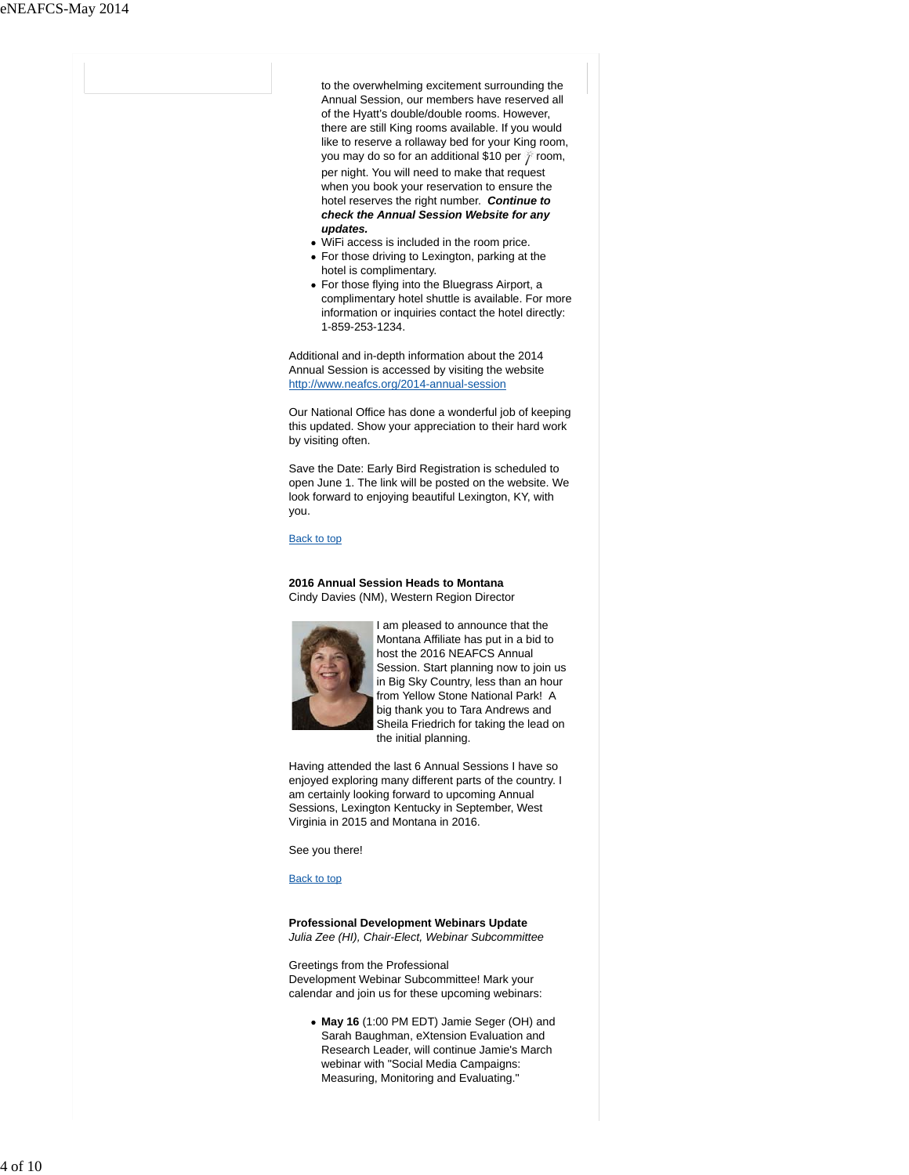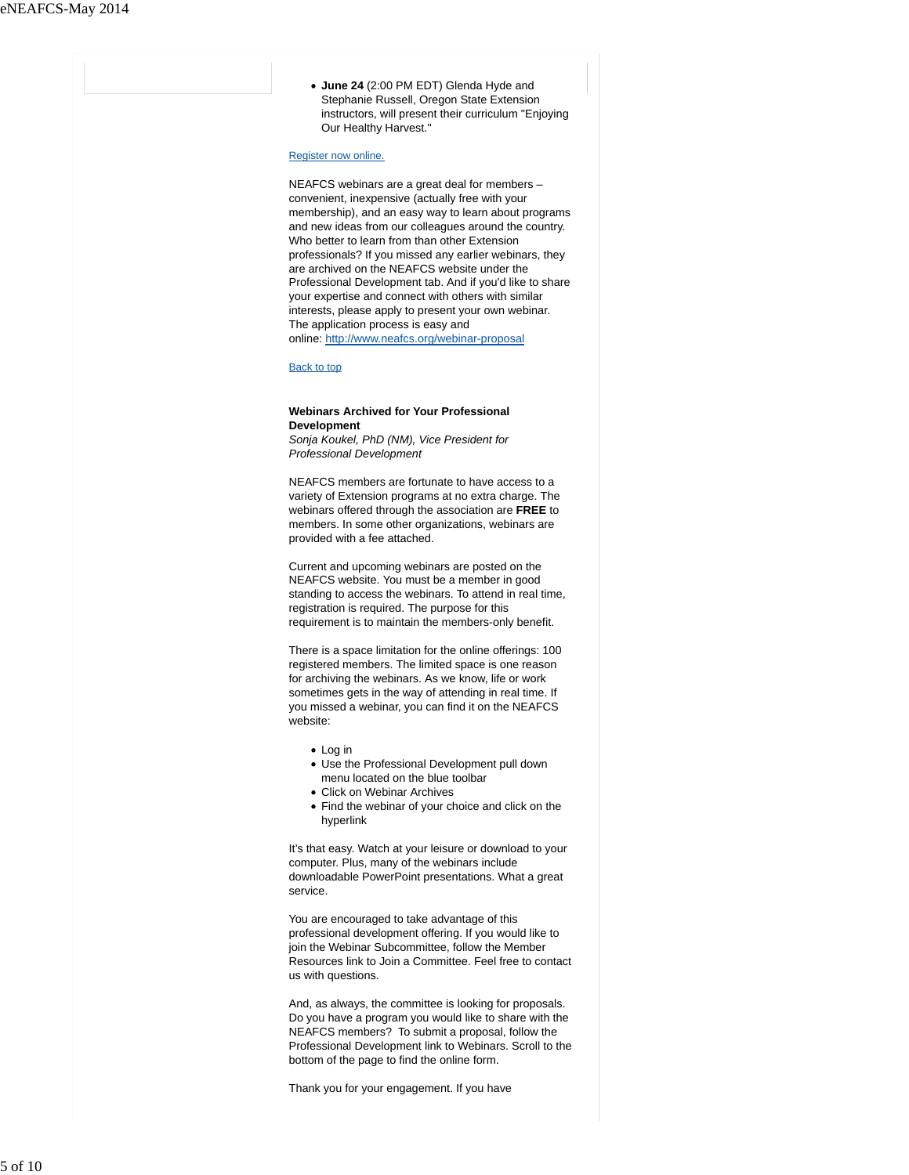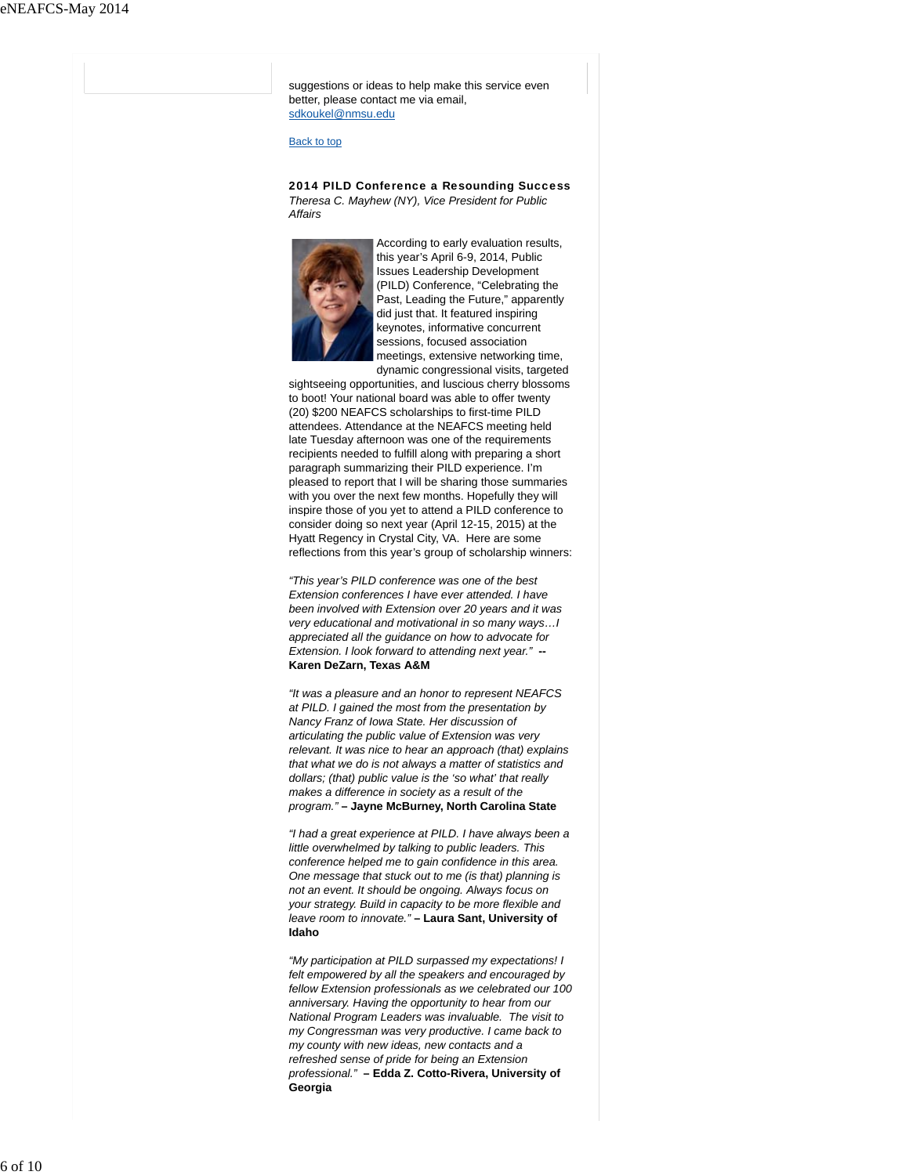suggestions or ideas to help make this service even better, please contact me via email, sdkoukel@nmsu.edu

Back to top

2014 PILD Conference a Resounding Success *Theresa C. Mayhew (NY), Vice President for Public Affairs* 



According to early evaluation results, this year's April 6-9, 2014, Public Issues Leadership Development (PILD) Conference, "Celebrating the Past, Leading the Future," apparently did just that. It featured inspiring keynotes, informative concurrent sessions, focused association meetings, extensive networking time, dynamic congressional visits, targeted

sightseeing opportunities, and luscious cherry blossoms to boot! Your national board was able to offer twenty (20) \$200 NEAFCS scholarships to first-time PILD attendees. Attendance at the NEAFCS meeting held late Tuesday afternoon was one of the requirements recipients needed to fulfill along with preparing a short paragraph summarizing their PILD experience. I'm pleased to report that I will be sharing those summaries with you over the next few months. Hopefully they will inspire those of you yet to attend a PILD conference to consider doing so next year (April 12-15, 2015) at the Hyatt Regency in Crystal City, VA. Here are some reflections from this year's group of scholarship winners:

*"This year's PILD conference was one of the best Extension conferences I have ever attended. I have been involved with Extension over 20 years and it was very educational and motivational in so many ways…I appreciated all the guidance on how to advocate for Extension. I look forward to attending next year."* **-- Karen DeZarn, Texas A&M**

*"It was a pleasure and an honor to represent NEAFCS at PILD. I gained the most from the presentation by Nancy Franz of Iowa State. Her discussion of articulating the public value of Extension was very relevant. It was nice to hear an approach (that) explains that what we do is not always a matter of statistics and dollars; (that) public value is the 'so what' that really makes a difference in society as a result of the program."* **– Jayne McBurney, North Carolina State**

*"I had a great experience at PILD. I have always been a little overwhelmed by talking to public leaders. This conference helped me to gain confidence in this area. One message that stuck out to me (is that) planning is not an event. It should be ongoing. Always focus on your strategy. Build in capacity to be more flexible and leave room to innovate."* **– Laura Sant, University of Idaho**

*"My participation at PILD surpassed my expectations! I felt empowered by all the speakers and encouraged by fellow Extension professionals as we celebrated our 100 anniversary. Having the opportunity to hear from our National Program Leaders was invaluable. The visit to my Congressman was very productive. I came back to my county with new ideas, new contacts and a refreshed sense of pride for being an Extension professional."* **– Edda Z. Cotto-Rivera, University of Georgia**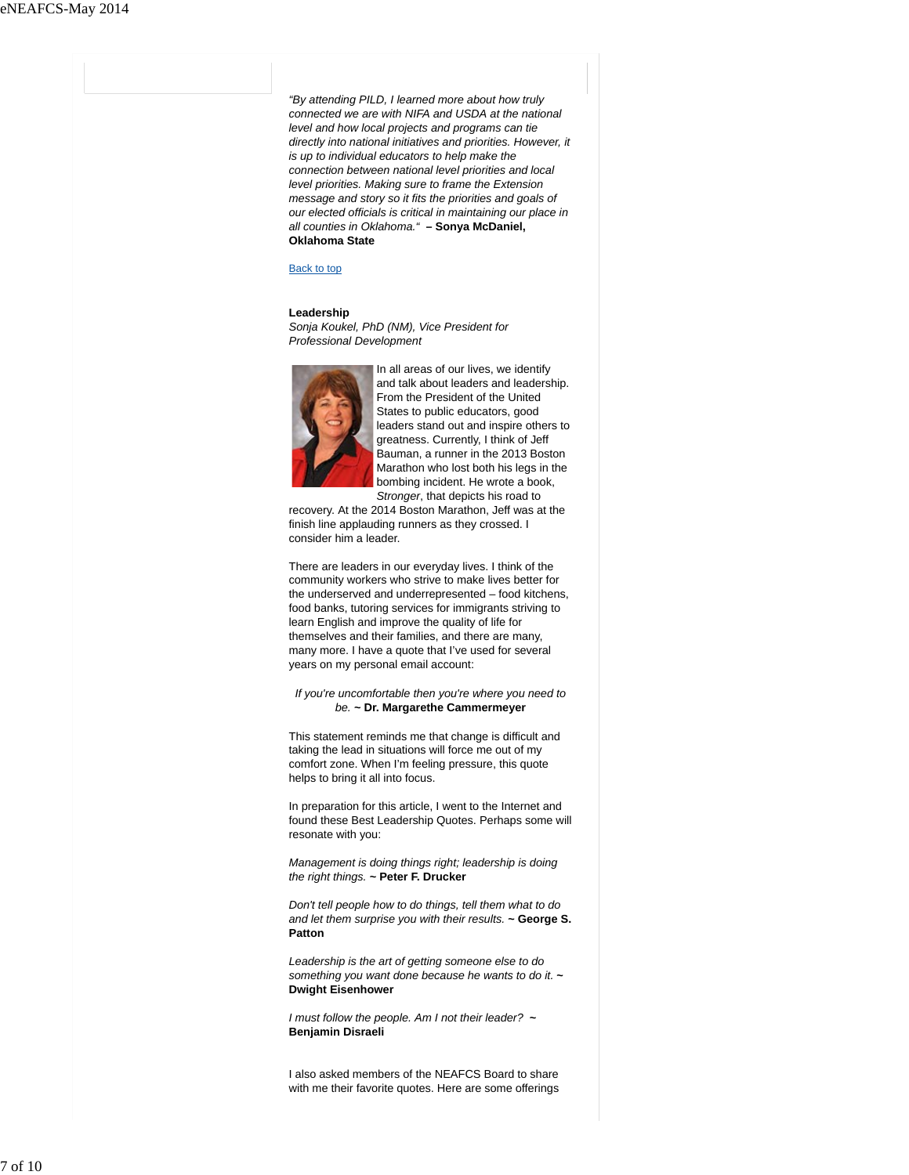*"By attending PILD, I learned more about how truly connected we are with NIFA and USDA at the national level and how local projects and programs can tie directly into national initiatives and priorities. However, it is up to individual educators to help make the connection between national level priorities and local level priorities. Making sure to frame the Extension message and story so it fits the priorities and goals of our elected officials is critical in maintaining our place in all counties in Oklahoma."* **– Sonya McDaniel, Oklahoma State**

#### Back to top

#### **Leadership**

*Sonja Koukel, PhD (NM), Vice President for Professional Development*



In all areas of our lives, we identify and talk about leaders and leadership. From the President of the United States to public educators, good leaders stand out and inspire others to greatness. Currently, I think of Jeff Bauman, a runner in the 2013 Boston Marathon who lost both his legs in the bombing incident. He wrote a book, *Stronger*, that depicts his road to

recovery. At the 2014 Boston Marathon, Jeff was at the finish line applauding runners as they crossed. I consider him a leader.

There are leaders in our everyday lives. I think of the community workers who strive to make lives better for the underserved and underrepresented – food kitchens, food banks, tutoring services for immigrants striving to learn English and improve the quality of life for themselves and their families, and there are many, many more. I have a quote that I've used for several years on my personal email account:

## *If you're uncomfortable then you're where you need to be.* **~ Dr. Margarethe Cammermeyer**

This statement reminds me that change is difficult and taking the lead in situations will force me out of my comfort zone. When I'm feeling pressure, this quote helps to bring it all into focus.

In preparation for this article, I went to the Internet and found these Best Leadership Quotes. Perhaps some will resonate with you:

*Management is doing things right; leadership is doing the right things.* **~ Peter F. Drucker**

*Don't tell people how to do things, tell them what to do and let them surprise you with their results.* **~ George S. Patton**

*Leadership is the art of getting someone else to do something you want done because he wants to do it.* **~ Dwight Eisenhower**

*I must follow the people. Am I not their leader?* **~ Benjamin Disraeli**

I also asked members of the NEAFCS Board to share with me their favorite quotes. Here are some offerings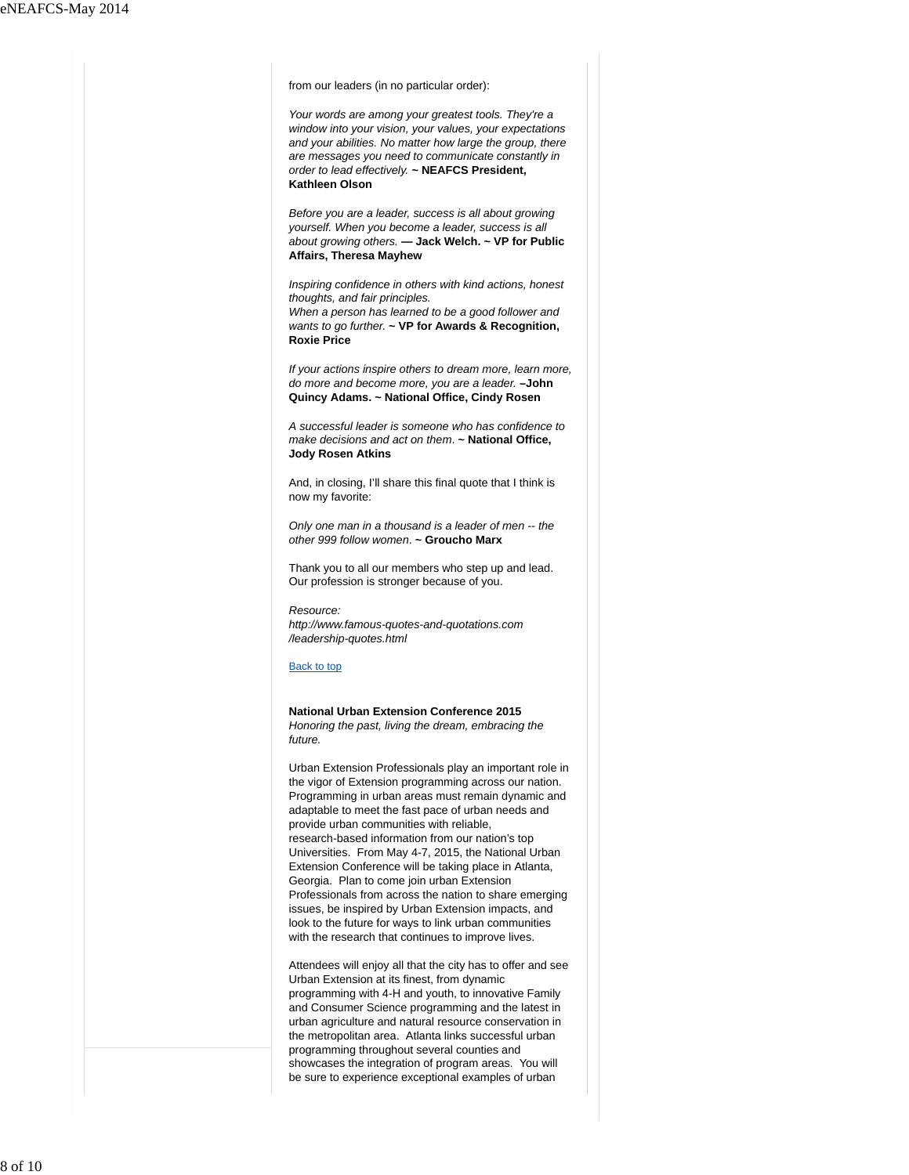| from our leaders (in no particular order):                                                                                                                                                                                                                                                                                                                                                                                                                                                                                                                                                                                                                                                                                  |
|-----------------------------------------------------------------------------------------------------------------------------------------------------------------------------------------------------------------------------------------------------------------------------------------------------------------------------------------------------------------------------------------------------------------------------------------------------------------------------------------------------------------------------------------------------------------------------------------------------------------------------------------------------------------------------------------------------------------------------|
| Your words are among your greatest tools. They're a<br>window into your vision, your values, your expectations<br>and your abilities. No matter how large the group, there<br>are messages you need to communicate constantly in<br>order to lead effectively. ~ NEAFCS President,<br>Kathleen Olson                                                                                                                                                                                                                                                                                                                                                                                                                        |
| Before you are a leader, success is all about growing<br>yourself. When you become a leader, success is all<br>about growing others. - Jack Welch. ~ VP for Public<br><b>Affairs, Theresa Mayhew</b>                                                                                                                                                                                                                                                                                                                                                                                                                                                                                                                        |
| Inspiring confidence in others with kind actions, honest<br>thoughts, and fair principles.<br>When a person has learned to be a good follower and<br>wants to go further. $\sim$ VP for Awards & Recognition,<br><b>Roxie Price</b>                                                                                                                                                                                                                                                                                                                                                                                                                                                                                         |
| If your actions inspire others to dream more, learn more,<br>do more and become more, you are a leader. - John<br>Quincy Adams. ~ National Office, Cindy Rosen                                                                                                                                                                                                                                                                                                                                                                                                                                                                                                                                                              |
| A successful leader is someone who has confidence to<br>make decisions and act on them. ~ National Office,<br><b>Jody Rosen Atkins</b>                                                                                                                                                                                                                                                                                                                                                                                                                                                                                                                                                                                      |
| And, in closing, I'll share this final quote that I think is<br>now my favorite:                                                                                                                                                                                                                                                                                                                                                                                                                                                                                                                                                                                                                                            |
| Only one man in a thousand is a leader of men -- the<br>other 999 follow women. ~ Groucho Marx                                                                                                                                                                                                                                                                                                                                                                                                                                                                                                                                                                                                                              |
| Thank you to all our members who step up and lead.<br>Our profession is stronger because of you.                                                                                                                                                                                                                                                                                                                                                                                                                                                                                                                                                                                                                            |
| Resource:<br>http://www.famous-quotes-and-quotations.com<br>/leadership-quotes.html                                                                                                                                                                                                                                                                                                                                                                                                                                                                                                                                                                                                                                         |
| Back to top                                                                                                                                                                                                                                                                                                                                                                                                                                                                                                                                                                                                                                                                                                                 |
| <b>National Urban Extension Conference 2015</b><br>Honoring the past, living the dream, embracing the<br>future.                                                                                                                                                                                                                                                                                                                                                                                                                                                                                                                                                                                                            |
| Urban Extension Professionals play an important role in<br>the vigor of Extension programming across our nation.<br>Programming in urban areas must remain dynamic and<br>adaptable to meet the fast pace of urban needs and<br>provide urban communities with reliable,<br>research-based information from our nation's top<br>Universities. From May 4-7, 2015, the National Urban<br>Extension Conference will be taking place in Atlanta,<br>Georgia. Plan to come join urban Extension<br>Professionals from across the nation to share emerging<br>issues, be inspired by Urban Extension impacts, and<br>look to the future for ways to link urban communities<br>with the research that continues to improve lives. |
| Attendees will enjoy all that the city has to offer and see<br>Urban Extension at its finest, from dynamic<br>programming with 4-H and youth, to innovative Family<br>and Consumer Science programming and the latest in<br>urban agriculture and natural resource conservation in<br>the metropolitan area. Atlanta links successful urban<br>programming throughout several counties and<br>showcases the integration of program areas. You will<br>be sure to experience exceptional examples of urban                                                                                                                                                                                                                   |
|                                                                                                                                                                                                                                                                                                                                                                                                                                                                                                                                                                                                                                                                                                                             |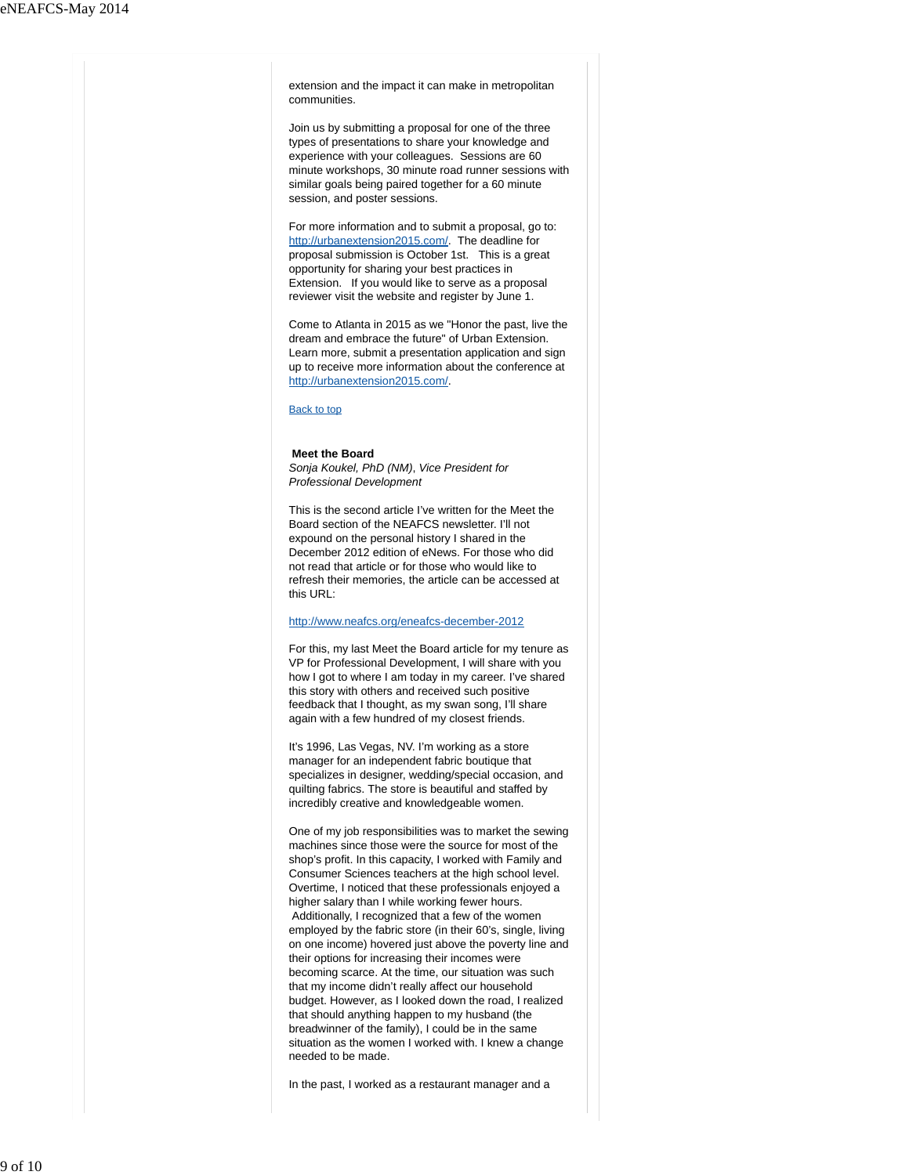extension and the impact it can make in metropolitan communities.

Join us by submitting a proposal for one of the three types of presentations to share your knowledge and experience with your colleagues. Sessions are 60 minute workshops, 30 minute road runner sessions with similar goals being paired together for a 60 minute session, and poster sessions.

For more information and to submit a proposal, go to: http://urbanextension2015.com/. The deadline for proposal submission is October 1st. This is a great opportunity for sharing your best practices in Extension. If you would like to serve as a proposal reviewer visit the website and register by June 1.

Come to Atlanta in 2015 as we "Honor the past, live the dream and embrace the future" of Urban Extension. Learn more, submit a presentation application and sign up to receive more information about the conference at http://urbanextension2015.com/.

Back to top

### **Meet the Board**

*Sonja Koukel, PhD (NM)*, *Vice President for Professional Development*

This is the second article I've written for the Meet the Board section of the NEAFCS newsletter. I'll not expound on the personal history I shared in the December 2012 edition of eNews. For those who did not read that article or for those who would like to refresh their memories, the article can be accessed at this URL:

# http://www.neafcs.org/eneafcs-december-2012

For this, my last Meet the Board article for my tenure as VP for Professional Development, I will share with you how I got to where I am today in my career. I've shared this story with others and received such positive feedback that I thought, as my swan song, I'll share again with a few hundred of my closest friends.

It's 1996, Las Vegas, NV. I'm working as a store manager for an independent fabric boutique that specializes in designer, wedding/special occasion, and quilting fabrics. The store is beautiful and staffed by incredibly creative and knowledgeable women.

One of my job responsibilities was to market the sewing machines since those were the source for most of the shop's profit. In this capacity, I worked with Family and Consumer Sciences teachers at the high school level. Overtime, I noticed that these professionals enjoyed a higher salary than I while working fewer hours. Additionally, I recognized that a few of the women employed by the fabric store (in their 60's, single, living on one income) hovered just above the poverty line and their options for increasing their incomes were becoming scarce. At the time, our situation was such that my income didn't really affect our household budget. However, as I looked down the road, I realized that should anything happen to my husband (the breadwinner of the family), I could be in the same situation as the women I worked with. I knew a change needed to be made.

In the past, I worked as a restaurant manager and a